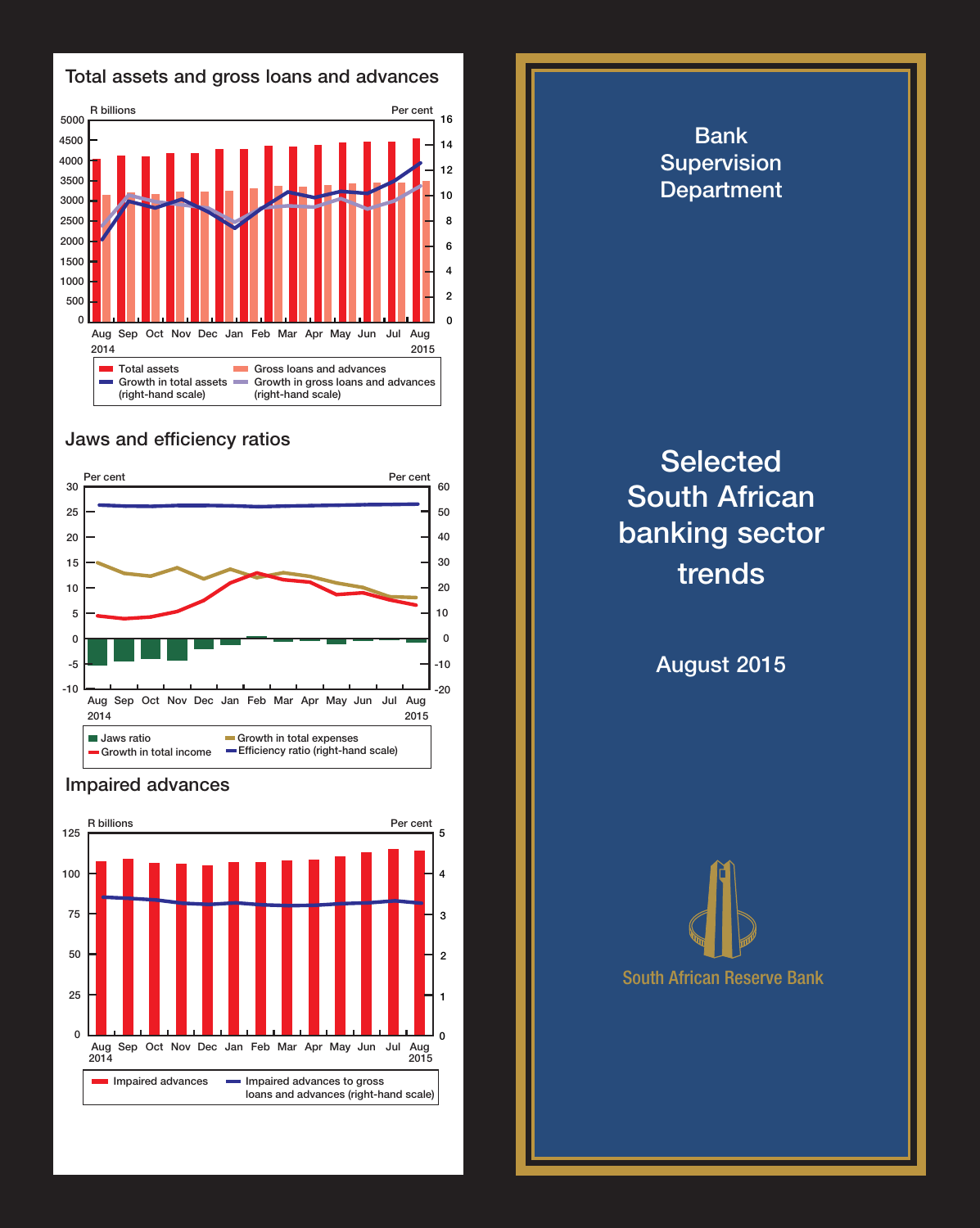

## Jaws and efficiency ratios



## Impaired advances



Bank Supervision **Department Selected** South African banking sector trends August 2015